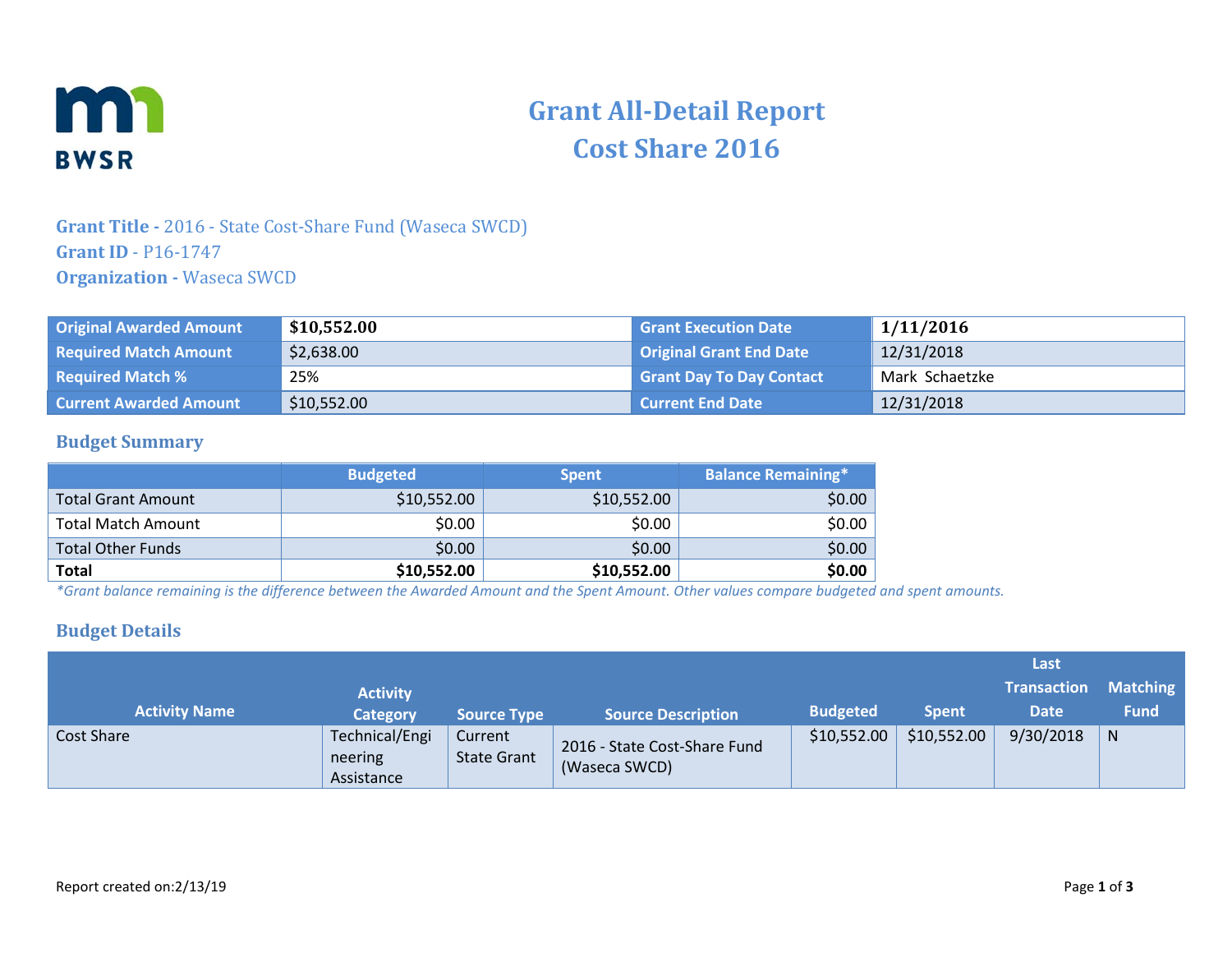

# **Grant All-Detail Report Cost Share 2016**

## **Grant Title -** 2016 - State Cost-Share Fund (Waseca SWCD) **Grant ID** - P16-1747 **Organization -** Waseca SWCD

| <b>Original Awarded Amount</b> | \$10,552.00 | <b>Grant Execution Date</b>     | 1/11/2016      |
|--------------------------------|-------------|---------------------------------|----------------|
| <b>Required Match Amount</b>   | \$2,638.00  | <b>Original Grant End Date</b>  | 12/31/2018     |
| <b>Required Match %</b>        | 25%         | <b>Grant Day To Day Contact</b> | Mark Schaetzke |
| <b>Current Awarded Amount</b>  | \$10,552.00 | <b>Current End Date</b>         | 12/31/2018     |

#### **Budget Summary**

|                           | <b>Budgeted</b> | <b>Spent</b> | <b>Balance Remaining*1</b> |
|---------------------------|-----------------|--------------|----------------------------|
| <b>Total Grant Amount</b> | \$10,552.00     | \$10,552.00  | \$0.00                     |
| <b>Total Match Amount</b> | \$0.00          | \$0.00       | \$0.00                     |
| <b>Total Other Funds</b>  | \$0.00          | \$0.00       | \$0.00                     |
| <b>Total</b>              | \$10,552.00     | \$10,552.00  | \$0.00                     |

*\*Grant balance remaining is the difference between the Awarded Amount and the Spent Amount. Other values compare budgeted and spent amounts.*

#### **Budget Details**

|                      |                                         |                               |                                               |                 |              | Last               |                 |
|----------------------|-----------------------------------------|-------------------------------|-----------------------------------------------|-----------------|--------------|--------------------|-----------------|
|                      | <b>Activity</b>                         |                               |                                               |                 |              | <b>Transaction</b> | <b>Matching</b> |
| <b>Activity Name</b> | <b>Category</b>                         | <b>Source Type</b>            | <b>Source Description</b>                     | <b>Budgeted</b> | <b>Spent</b> | Date               | <b>Fund</b>     |
| <b>Cost Share</b>    | Technical/Engi<br>neering<br>Assistance | Current<br><b>State Grant</b> | 2016 - State Cost-Share Fund<br>(Waseca SWCD) | \$10,552.00     | \$10,552.00  | 9/30/2018          | N               |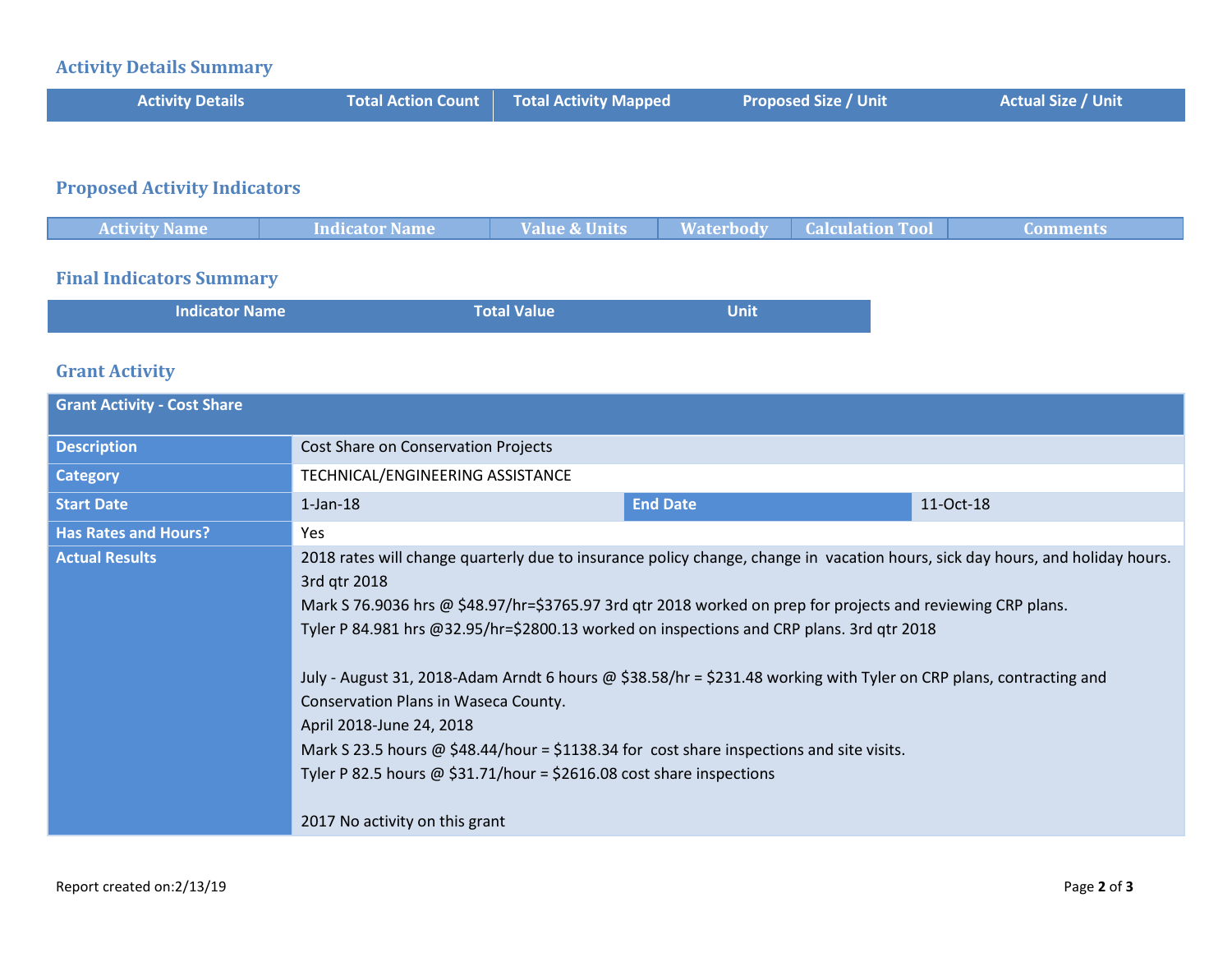#### **Activity Details Summary**

| <b>Activity Details</b> | <b>Total Action Count Fotal Activity Mapped</b> | <b>Proposed Size / Unit</b> | <b>Actual Size / Unit</b> |
|-------------------------|-------------------------------------------------|-----------------------------|---------------------------|
|                         |                                                 |                             |                           |

## **Proposed Activity Indicators**

| <b>Activity Name</b> | Indicator Name | <b>Value &amp; Units</b> | <b>Waterbody   Calculation Tool</b> | Comments |
|----------------------|----------------|--------------------------|-------------------------------------|----------|
|                      |                |                          |                                     |          |

### **Final Indicators Summary**

| <b>Indicator Name</b> | <b>Total Value</b> | <b>Unit</b> |
|-----------------------|--------------------|-------------|
|                       |                    |             |

#### **Grant Activity**

| <b>Grant Activity - Cost Share</b> |                                                                                                                                                                                                                                                                                                                                                                                                                                                                                                                                                                                                                                                                                                                                                                 |                 |           |
|------------------------------------|-----------------------------------------------------------------------------------------------------------------------------------------------------------------------------------------------------------------------------------------------------------------------------------------------------------------------------------------------------------------------------------------------------------------------------------------------------------------------------------------------------------------------------------------------------------------------------------------------------------------------------------------------------------------------------------------------------------------------------------------------------------------|-----------------|-----------|
| <b>Description</b>                 | Cost Share on Conservation Projects                                                                                                                                                                                                                                                                                                                                                                                                                                                                                                                                                                                                                                                                                                                             |                 |           |
| <b>Category</b>                    | TECHNICAL/ENGINEERING ASSISTANCE                                                                                                                                                                                                                                                                                                                                                                                                                                                                                                                                                                                                                                                                                                                                |                 |           |
| <b>Start Date</b>                  | $1$ -Jan- $18$                                                                                                                                                                                                                                                                                                                                                                                                                                                                                                                                                                                                                                                                                                                                                  | <b>End Date</b> | 11-Oct-18 |
| <b>Has Rates and Hours?</b>        | Yes                                                                                                                                                                                                                                                                                                                                                                                                                                                                                                                                                                                                                                                                                                                                                             |                 |           |
| <b>Actual Results</b>              | 2018 rates will change quarterly due to insurance policy change, change in vacation hours, sick day hours, and holiday hours.<br>3rd qtr 2018<br>Mark S 76.9036 hrs @ \$48.97/hr=\$3765.97 3rd qtr 2018 worked on prep for projects and reviewing CRP plans.<br>Tyler P 84.981 hrs @32.95/hr=\$2800.13 worked on inspections and CRP plans. 3rd gtr 2018<br>July - August 31, 2018-Adam Arndt 6 hours @ \$38.58/hr = \$231.48 working with Tyler on CRP plans, contracting and<br>Conservation Plans in Waseca County.<br>April 2018-June 24, 2018<br>Mark S 23.5 hours @ \$48.44/hour = \$1138.34 for cost share inspections and site visits.<br>Tyler P 82.5 hours $\omega$ \$31.71/hour = \$2616.08 cost share inspections<br>2017 No activity on this grant |                 |           |